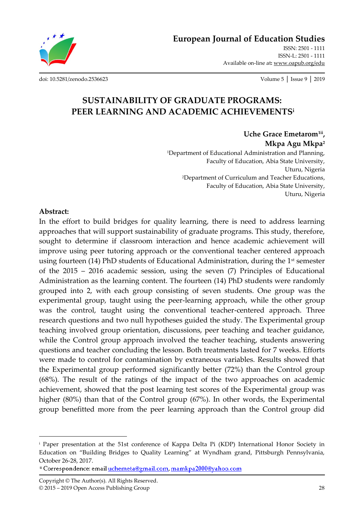**European Journal of Education Studies**

ISSN: 2501 - 1111 ISSN-L: 2501 - 1111 Available on-line at**:** www.oapub.org/edu

[doi: 10.5281/zenodo.2536623](http://dx.doi.org/10.5281/zenodo.2536623) Volume 5 │ Issue 9 │ 2019

# **SUSTAINABILITY OF GRADUATE PROGRAMS: PEER LEARNING AND ACADEMIC ACHIEVEMENTS<sup>i</sup>**

**Uche Grace Emetarom1ii , Mkpa Agu Mkpa<sup>2</sup>** <sup>1</sup>Department of Educational Administration and Planning, Faculty of Education, Abia State University, Uturu, Nigeria <sup>2</sup>Department of Curriculum and Teacher Educations, Faculty of Education, Abia State University, Uturu, Nigeria

#### **Abstract:**

 $\overline{\phantom{a}}$ 

In the effort to build bridges for quality learning, there is need to address learning approaches that will support sustainability of graduate programs. This study, therefore, sought to determine if classroom interaction and hence academic achievement will improve using peer tutoring approach or the conventional teacher centered approach using fourteen (14) PhD students of Educational Administration, during the 1<sup>st</sup> semester of the 2015 – 2016 academic session, using the seven (7) Principles of Educational Administration as the learning content. The fourteen (14) PhD students were randomly grouped into 2, with each group consisting of seven students. One group was the experimental group, taught using the peer-learning approach, while the other group was the control, taught using the conventional teacher-centered approach. Three research questions and two null hypotheses guided the study. The Experimental group teaching involved group orientation, discussions, peer teaching and teacher guidance, while the Control group approach involved the teacher teaching, students answering questions and teacher concluding the lesson. Both treatments lasted for 7 weeks. Efforts were made to control for contamination by extraneous variables. Results showed that the Experimental group performed significantly better (72%) than the Control group (68%). The result of the ratings of the impact of the two approaches on academic achievement, showed that the post learning test scores of the Experimental group was higher (80%) than that of the Control group (67%). In other words, the Experimental group benefitted more from the peer learning approach than the Control group did

<sup>i</sup> Paper presentation at the 51st conference of Kappa Delta Pi (KDP) International Honor Society in Education on 'Building Bridges to Quality Learning' at Wyndham grand, Pittsburgh Pennsylvania, October 26-28, 2017.

<sup>&</sup>lt;sup>ii</sup> Correspondence: email uchemeta@gmail.com, mamkpa2000@yahoo.com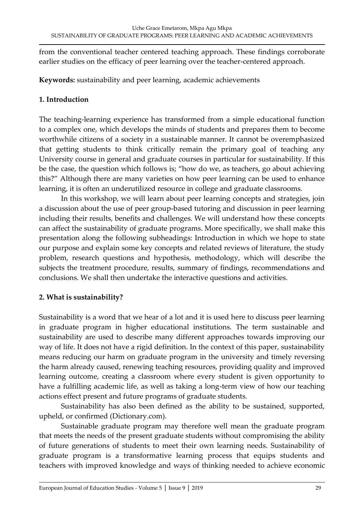from the conventional teacher centered teaching approach. These findings corroborate earlier studies on the efficacy of peer learning over the teacher-centered approach.

**Keywords:** sustainability and peer learning, academic achievements

### **1. Introduction**

The teaching-learning experience has transformed from a simple educational function to a complex one, which develops the minds of students and prepares them to become worthwhile citizens of a society in a sustainable manner. It cannot be overemphasized that getting students to think critically remain the primary goal of teaching any University course in general and graduate courses in particular for sustainability. If this be the case, the question which follows is; 'how do we, as teachers, go about achieving this?' Although there are many varieties on how peer learning can be used to enhance learning, it is often an underutilized resource in college and graduate classrooms.

In this workshop, we will learn about peer learning concepts and strategies, join a discussion about the use of peer group-based tutoring and discussion in peer learning including their results, benefits and challenges. We will understand how these concepts can affect the sustainability of graduate programs. More specifically, we shall make this presentation along the following subheadings: Introduction in which we hope to state our purpose and explain some key concepts and related reviews of literature, the study problem, research questions and hypothesis, methodology, which will describe the subjects the treatment procedure, results, summary of findings, recommendations and conclusions. We shall then undertake the interactive questions and activities.

## **2. What is sustainability?**

Sustainability is a word that we hear of a lot and it is used here to discuss peer learning in graduate program in higher educational institutions. The term sustainable and sustainability are used to describe many different approaches towards improving our way of life. It does not have a rigid definition. In the context of this paper, sustainability means reducing our harm on graduate program in the university and timely reversing the harm already caused, renewing teaching resources, providing quality and improved learning outcome, creating a classroom where every student is given opportunity to have a fulfilling academic life, as well as taking a long-term view of how our teaching actions effect present and future programs of graduate students.

Sustainability has also been defined as the ability to be sustained, supported, upheld, or confirmed (Dictionary.com).

Sustainable graduate program may therefore well mean the graduate program that meets the needs of the present graduate students without compromising the ability of future generations of students to meet their own learning needs. Sustainability of graduate program is a transformative learning process that equips students and teachers with improved knowledge and ways of thinking needed to achieve economic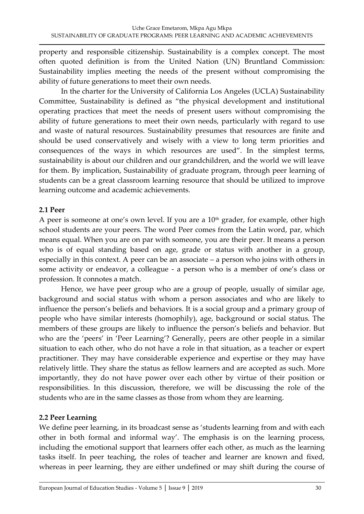property and responsible citizenship. Sustainability is a complex concept. The most often quoted definition is from the United Nation (UN) Bruntland Commission: Sustainability implies meeting the needs of the present without compromising the ability of future generations to meet their own needs.

In the charter for the University of California Los Angeles (UCLA) Sustainability Committee, Sustainability is defined as 'the physical development and institutional operating practices that meet the needs of present users without compromising the ability of future generations to meet their own needs, particularly with regard to use and waste of natural resources. Sustainability presumes that resources are finite and should be used conservatively and wisely with a view to long term priorities and consequences of the ways in which resources are used'. In the simplest terms, sustainability is about our children and our grandchildren, and the world we will leave for them. By implication, Sustainability of graduate program, through peer learning of students can be a great classroom learning resource that should be utilized to improve learning outcome and academic achievements.

### **2.1 Peer**

A peer is someone at one's own level. If you are a  $10<sup>th</sup>$  grader, for example, other high school students are your peers. The word Peer comes from the Latin word, par, which means equal. When you are on par with someone, you are their peer. It means a person who is of equal standing based on age, grade or status with another in a group, especially in this context. A peer can be an associate – a person who joins with others in some activity or endeavor, a colleague - a person who is a member of one's class or profession. It connotes a match.

Hence, we have peer group who are a group of people, usually of similar age, background and social status with whom a person associates and who are likely to influence the person's beliefs and behaviors. It is a social group and a primary group of people who have similar interests (homophily), age, background or social status. The members of these groups are likely to influence the person's beliefs and behavior. But who are the 'peers' in 'Peer Learning'? Generally, peers are other people in a similar situation to each other, who do not have a role in that situation, as a teacher or expert practitioner. They may have considerable experience and expertise or they may have relatively little. They share the status as fellow learners and are accepted as such. More importantly, they do not have power over each other by virtue of their position or responsibilities. In this discussion, therefore, we will be discussing the role of the students who are in the same classes as those from whom they are learning.

### **2.2 Peer Learning**

We define peer learning, in its broadcast sense as 'students learning from and with each other in both formal and informal way'. The emphasis is on the learning process, including the emotional support that learners offer each other, as much as the learning tasks itself. In peer teaching, the roles of teacher and learner are known and fixed, whereas in peer learning, they are either undefined or may shift during the course of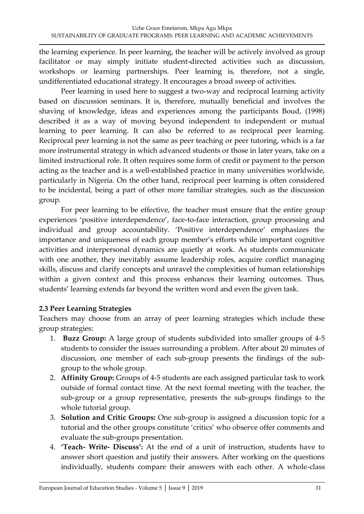the learning experience. In peer learning, the teacher will be actively involved as group facilitator or may simply initiate student-directed activities such as discussion, workshops or learning partnerships. Peer learning is, therefore, not a single, undifferentiated educational strategy. It encourages a broad sweep of activities.

Peer learning in used here to suggest a two-way and reciprocal learning activity based on discussion seminars. It is, therefore, mutually beneficial and involves the shaving of knowledge, ideas and experiences among the participants Boud, (1998) described it as a way of moving beyond independent to independent or mutual learning to peer learning. It can also be referred to as reciprocal peer learning. Reciprocal peer learning is not the same as peer teaching or peer tutoring, which is a far more instrumental strategy in which advanced students or those in later years, take on a limited instructional role. It often requires some form of credit or payment to the person acting as the teacher and is a well-established practice in many universities worldwide, particularly in Nigeria. On the other hand, reciprocal peer learning is often considered to be incidental, being a part of other more familiar strategies, such as the discussion group.

For peer learning to be effective, the teacher must ensure that the entire group experiences 'positive interdependence', face-to-face interaction, group processing and individual and group accountability. 'Positive interdependence' emphasizes the importance and uniqueness of each group member's efforts while important cognitive activities and interpersonal dynamics are quietly at work. As students communicate with one another, they inevitably assume leadership roles, acquire conflict managing skills, discuss and clarify concepts and unravel the complexities of human relationships within a given context and this process enhances their learning outcomes. Thus, students' learning extends far beyond the written word and even the given task.

### **2.3 Peer Learning Strategies**

Teachers may choose from an array of peer learning strategies which include these group strategies:

- 1. **Buzz Group:** A large group of students subdivided into smaller groups of 4-5 students to consider the issues surrounding a problem. After about 20 minutes of discussion, one member of each sub-group presents the findings of the subgroup to the whole group.
- 2. **Affinity Group:** Groups of 4-5 students are each assigned particular task to work outside of formal contact time. At the next formal meeting with the teacher, the sub-group or a group representative, presents the sub-groups findings to the whole tutorial group.
- 3. **Solution and Critic Groups:** One sub-group is assigned a discussion topic for a tutorial and the other groups constitute 'critics' who observe offer comments and evaluate the sub-groups presentation.
- 4. **'Teach- Write- Discuss':** At the end of a unit of instruction, students have to answer short question and justify their answers. After working on the questions individually, students compare their answers with each other. A whole-class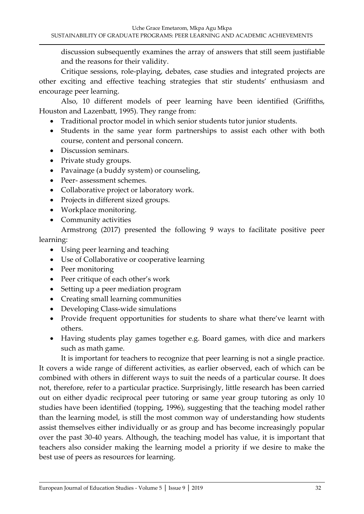discussion subsequently examines the array of answers that still seem justifiable and the reasons for their validity.

Critique sessions, role-playing, debates, case studies and integrated projects are other exciting and effective teaching strategies that stir students' enthusiasm and encourage peer learning.

Also, 10 different models of peer learning have been identified (Griffiths, Houston and Lazenbatt, 1995). They range from:

- Traditional proctor model in which senior students tutor junior students.
- Students in the same year form partnerships to assist each other with both course, content and personal concern.
- Discussion seminars.
- Private study groups.
- Pavainage (a buddy system) or counseling,
- Peer- assessment schemes.
- Collaborative project or laboratory work.
- Projects in different sized groups.
- Workplace monitoring.
- Community activities

Armstrong (2017) presented the following 9 ways to facilitate positive peer learning:

- Using peer learning and teaching
- Use of Collaborative or cooperative learning
- Peer monitoring
- Peer critique of each other's work
- Setting up a peer mediation program
- Creating small learning communities
- Developing Class-wide simulations
- Provide frequent opportunities for students to share what there've learnt with others.
- Having students play games together e.g. Board games, with dice and markers such as math game.

It is important for teachers to recognize that peer learning is not a single practice. It covers a wide range of different activities, as earlier observed, each of which can be combined with others in different ways to suit the needs of a particular course. It does not, therefore, refer to a particular practice. Surprisingly, little research has been carried out on either dyadic reciprocal peer tutoring or same year group tutoring as only 10 studies have been identified (topping, 1996), suggesting that the teaching model rather than the learning model, is still the most common way of understanding how students assist themselves either individually or as group and has become increasingly popular over the past 30-40 years. Although, the teaching model has value, it is important that teachers also consider making the learning model a priority if we desire to make the best use of peers as resources for learning.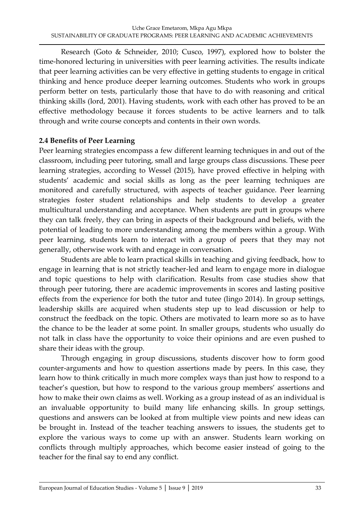Research (Goto & Schneider, 2010; Cusco, 1997), explored how to bolster the time-honored lecturing in universities with peer learning activities. The results indicate that peer learning activities can be very effective in getting students to engage in critical thinking and hence produce deeper learning outcomes. Students who work in groups perform better on tests, particularly those that have to do with reasoning and critical thinking skills (lord, 2001). Having students, work with each other has proved to be an effective methodology because it forces students to be active learners and to talk through and write course concepts and contents in their own words.

### **2.4 Benefits of Peer Learning**

Peer learning strategies encompass a few different learning techniques in and out of the classroom, including peer tutoring, small and large groups class discussions. These peer learning strategies, according to Wessel (2015), have proved effective in helping with students' academic and social skills as long as the peer learning techniques are monitored and carefully structured, with aspects of teacher guidance. Peer learning strategies foster student relationships and help students to develop a greater multicultural understanding and acceptance. When students are putt in groups where they can talk freely, they can bring in aspects of their background and beliefs, with the potential of leading to more understanding among the members within a group. With peer learning, students learn to interact with a group of peers that they may not generally, otherwise work with and engage in conversation.

Students are able to learn practical skills in teaching and giving feedback, how to engage in learning that is not strictly teacher-led and learn to engage more in dialogue and topic questions to help with clarification. Results from case studies show that through peer tutoring, there are academic improvements in scores and lasting positive effects from the experience for both the tutor and tutee (lingo 2014). In group settings, leadership skills are acquired when students step up to lead discussion or help to construct the feedback on the topic. Others are motivated to learn more so as to have the chance to be the leader at some point. In smaller groups, students who usually do not talk in class have the opportunity to voice their opinions and are even pushed to share their ideas with the group.

Through engaging in group discussions, students discover how to form good counter-arguments and how to question assertions made by peers. In this case, they learn how to think critically in much more complex ways than just how to respond to a teacher's question, but how to respond to the various group members' assertions and how to make their own claims as well. Working as a group instead of as an individual is an invaluable opportunity to build many life enhancing skills. In group settings, questions and answers can be looked at from multiple view points and new ideas can be brought in. Instead of the teacher teaching answers to issues, the students get to explore the various ways to come up with an answer. Students learn working on conflicts through multiply approaches, which become easier instead of going to the teacher for the final say to end any conflict.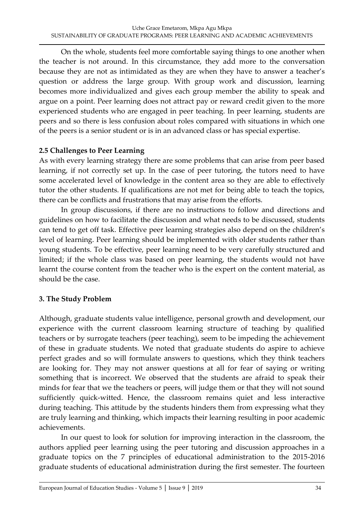On the whole, students feel more comfortable saying things to one another when the teacher is not around. In this circumstance, they add more to the conversation because they are not as intimidated as they are when they have to answer a teacher's question or address the large group. With group work and discussion, learning becomes more individualized and gives each group member the ability to speak and argue on a point. Peer learning does not attract pay or reward credit given to the more experienced students who are engaged in peer teaching. In peer learning, students are peers and so there is less confusion about roles compared with situations in which one of the peers is a senior student or is in an advanced class or has special expertise.

### **2.5 Challenges to Peer Learning**

As with every learning strategy there are some problems that can arise from peer based learning, if not correctly set up. In the case of peer tutoring, the tutors need to have some accelerated level of knowledge in the content area so they are able to effectively tutor the other students. If qualifications are not met for being able to teach the topics, there can be conflicts and frustrations that may arise from the efforts.

In group discussions, if there are no instructions to follow and directions and guidelines on how to facilitate the discussion and what needs to be discussed, students can tend to get off task. Effective peer learning strategies also depend on the children's level of learning. Peer learning should be implemented with older students rather than young students. To be effective, peer learning need to be very carefully structured and limited; if the whole class was based on peer learning, the students would not have learnt the course content from the teacher who is the expert on the content material, as should be the case.

### **3. The Study Problem**

Although, graduate students value intelligence, personal growth and development, our experience with the current classroom learning structure of teaching by qualified teachers or by surrogate teachers (peer teaching), seem to be impeding the achievement of these in graduate students. We noted that graduate students do aspire to achieve perfect grades and so will formulate answers to questions, which they think teachers are looking for. They may not answer questions at all for fear of saying or writing something that is incorrect. We observed that the students are afraid to speak their minds for fear that we the teachers or peers, will judge them or that they will not sound sufficiently quick-witted. Hence, the classroom remains quiet and less interactive during teaching. This attitude by the students hinders them from expressing what they are truly learning and thinking, which impacts their learning resulting in poor academic achievements.

In our quest to look for solution for improving interaction in the classroom, the authors applied peer learning using the peer tutoring and discussion approaches in a graduate topics on the 7 principles of educational administration to the 2015-2016 graduate students of educational administration during the first semester. The fourteen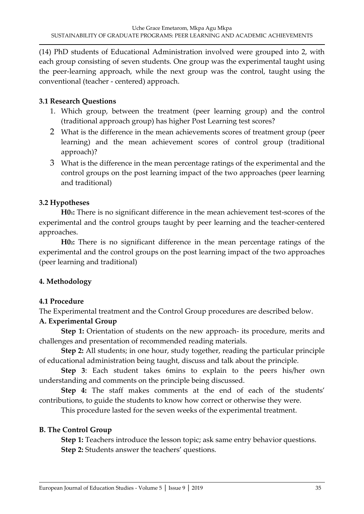(14) PhD students of Educational Administration involved were grouped into 2, with each group consisting of seven students. One group was the experimental taught using the peer-learning approach, while the next group was the control, taught using the conventional (teacher - centered) approach.

### **3.1 Research Questions**

- 1. Which group, between the treatment (peer learning group) and the control (traditional approach group) has higher Post Learning test scores?
- 2 What is the difference in the mean achievements scores of treatment group (peer learning) and the mean achievement scores of control group (traditional approach)?
- 3 What is the difference in the mean percentage ratings of the experimental and the control groups on the post learning impact of the two approaches (peer learning and traditional)

### **3.2 Hypotheses**

**H01:** There is no significant difference in the mean achievement test-scores of the experimental and the control groups taught by peer learning and the teacher-centered approaches.

**H02:** There is no significant difference in the mean percentage ratings of the experimental and the control groups on the post learning impact of the two approaches (peer learning and traditional)

## **4. Methodology**

### **4.1 Procedure**

The Experimental treatment and the Control Group procedures are described below.

## **A. Experimental Group**

**Step 1:** Orientation of students on the new approach- its procedure, merits and challenges and presentation of recommended reading materials.

**Step 2:** All students; in one hour, study together, reading the particular principle of educational administration being taught, discuss and talk about the principle.

**Step 3**: Each student takes 6mins to explain to the peers his/her own understanding and comments on the principle being discussed.

**Step 4:** The staff makes comments at the end of each of the students' contributions, to guide the students to know how correct or otherwise they were.

This procedure lasted for the seven weeks of the experimental treatment.

## **B. The Control Group**

**Step 1:** Teachers introduce the lesson topic; ask same entry behavior questions. **Step 2:** Students answer the teachers' questions.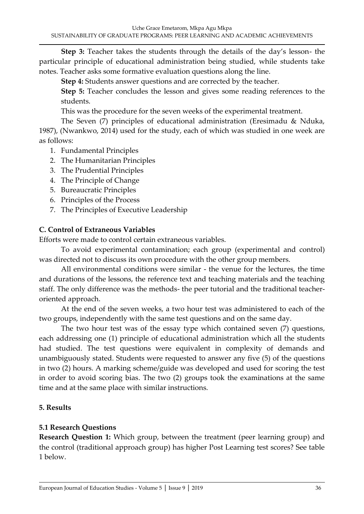**Step 3:** Teacher takes the students through the details of the day's lesson- the particular principle of educational administration being studied, while students take notes. Teacher asks some formative evaluation questions along the line.

**Step 4:** Students answer questions and are corrected by the teacher.

**Step 5:** Teacher concludes the lesson and gives some reading references to the students.

This was the procedure for the seven weeks of the experimental treatment.

The Seven (7) principles of educational administration (Eresimadu & Nduka, 1987), (Nwankwo, 2014) used for the study, each of which was studied in one week are as follows:

- 1. Fundamental Principles
- 2. The Humanitarian Principles
- 3. The Prudential Principles
- 4. The Principle of Change
- 5. Bureaucratic Principles
- 6. Principles of the Process
- 7. The Principles of Executive Leadership

#### **C. Control of Extraneous Variables**

Efforts were made to control certain extraneous variables.

To avoid experimental contamination; each group (experimental and control) was directed not to discuss its own procedure with the other group members.

All environmental conditions were similar - the venue for the lectures, the time and durations of the lessons, the reference text and teaching materials and the teaching staff. The only difference was the methods- the peer tutorial and the traditional teacheroriented approach.

At the end of the seven weeks, a two hour test was administered to each of the two groups, independently with the same test questions and on the same day.

The two hour test was of the essay type which contained seven (7) questions, each addressing one (1) principle of educational administration which all the students had studied. The test questions were equivalent in complexity of demands and unambiguously stated. Students were requested to answer any five (5) of the questions in two (2) hours. A marking scheme/guide was developed and used for scoring the test in order to avoid scoring bias. The two (2) groups took the examinations at the same time and at the same place with similar instructions.

### **5. Results**

### **5.1 Research Questions**

**Research Question 1:** Which group, between the treatment (peer learning group) and the control (traditional approach group) has higher Post Learning test scores? See table 1 below.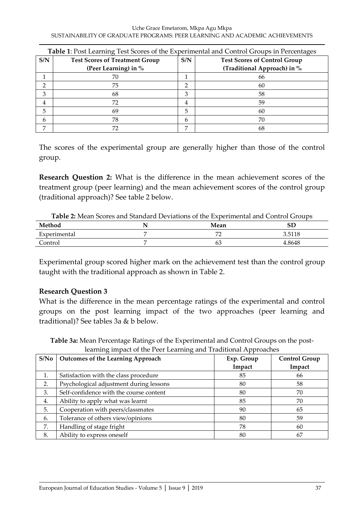|     | Table 1: Post Learning Test Scores of the Experimental and Control Groups in Percentages |     |                                     |  |  |  |  |  |
|-----|------------------------------------------------------------------------------------------|-----|-------------------------------------|--|--|--|--|--|
| S/N | <b>Test Scores of Treatment Group</b>                                                    | S/N | <b>Test Scores of Control Group</b> |  |  |  |  |  |
|     | (Peer Learning) in %                                                                     |     | (Traditional Approach) in %         |  |  |  |  |  |
|     | 70                                                                                       |     | 66                                  |  |  |  |  |  |
| ∍   | 75                                                                                       | ∍   | 60                                  |  |  |  |  |  |
| 3   | 68                                                                                       | 3   | 58                                  |  |  |  |  |  |
| 4   | 72                                                                                       | 4   | 59                                  |  |  |  |  |  |
| 5   | 69                                                                                       | 5   | 60                                  |  |  |  |  |  |
| 6   | 78                                                                                       | 6   | 70                                  |  |  |  |  |  |
| 7   | 72                                                                                       | ⇁   | 68                                  |  |  |  |  |  |

The scores of the experimental group are generally higher than those of the control group.

**Research Question 2:** What is the difference in the mean achievement scores of the treatment group (peer learning) and the mean achievement scores of the control group (traditional approach)? See table 2 below.

| <b>Table 2:</b> Mean Scores and Standard Deviations of the Experimental and Control Groups |  |      |        |  |  |  |
|--------------------------------------------------------------------------------------------|--|------|--------|--|--|--|
| Method                                                                                     |  | Mean |        |  |  |  |
| Experimental                                                                               |  |      | 3.5118 |  |  |  |
| Control                                                                                    |  | 63   | 4.8648 |  |  |  |

Experimental group scored higher mark on the achievement test than the control group taught with the traditional approach as shown in Table 2.

### **Research Question 3**

What is the difference in the mean percentage ratings of the experimental and control groups on the post learning impact of the two approaches (peer learning and traditional)? See tables 3a & b below.

**Table 3a:** Mean Percentage Ratings of the Experimental and Control Groups on the postlearning impact of the Peer Learning and Traditional Approaches

| S/No | <b>Outcomes of the Learning Approach</b> | Exp. Group<br>Impact | <b>Control Group</b><br>Impact |
|------|------------------------------------------|----------------------|--------------------------------|
|      | Satisfaction with the class procedure    | 85                   | 66                             |
| 2.   | Psychological adjustment during lessons  | 80                   | 58                             |
| 3.   | Self-confidence with the course content  | 80                   | 70                             |
| 4.   | Ability to apply what was learnt         | 85                   | 70                             |
| 5.   | Cooperation with peers/classmates        | 90                   | 65                             |
| 6.   | Tolerance of others view/opinions        | 80                   | 59                             |
| 7.   | Handling of stage fright                 | 78                   | 60                             |
| 8.   | Ability to express oneself               | 80                   | 67                             |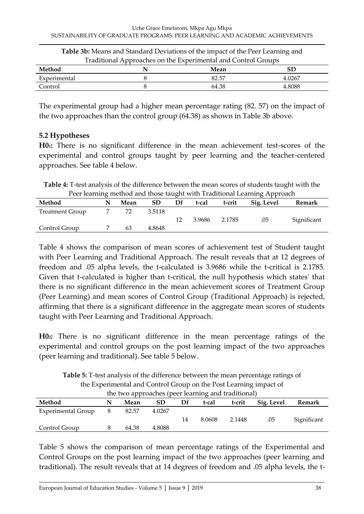| Table 3b: Means and Standard Deviations of the impact of the Peer Learning and |  |       |        |  |  |  |  |  |
|--------------------------------------------------------------------------------|--|-------|--------|--|--|--|--|--|
| Traditional Approaches on the Experimental and Control Groups                  |  |       |        |  |  |  |  |  |
| Method                                                                         |  | Mean  |        |  |  |  |  |  |
| Experimental                                                                   |  | 82.57 | 4.0267 |  |  |  |  |  |
| Control                                                                        |  | 64.38 | 4.8088 |  |  |  |  |  |

The experimental group had a higher mean percentage rating (82. 57) on the impact of the two approaches than the control group (64.38) as shown in Table 3b above.

### **5.2 Hypotheses**

**H01:** There is no significant difference in the mean achievement test-scores of the experimental and control groups taught by peer learning and the teacher-centered approaches. See table 4 below.

**Table 4:** T-test analysis of the difference between the mean scores of students taught with the Peer learning method and those taught with Traditional Learning Approach

| N | Mean |        | Df | t-cal  | t-crit | Sig. Level | Remark      |  |  |
|---|------|--------|----|--------|--------|------------|-------------|--|--|
|   | 72   | 3.5118 |    |        |        |            |             |  |  |
|   |      |        | 12 | 3.9686 | 2.1785 | .05        | Significant |  |  |
|   | 63   | 4.8648 |    |        |        |            |             |  |  |
|   |      |        |    |        |        |            |             |  |  |

Table 4 shows the comparison of mean scores of achievement test of Student taught with Peer Learning and Traditional Approach. The result reveals that at 12 degrees of freedom and .05 alpha levels, the t-calculated is 3.9686 while the t-critical is 2.1785. Given that t-calculated is higher than t-critical, the null hypothesis which states' that there is no significant difference in the mean achievement scores of Treatment Group (Peer Learning) and mean scores of Control Group (Traditional Approach) is rejected, affirming that there is a significant difference in the aggregate mean scores of students taught with Peer Learning and Traditional Approach.

**H02:** There is no significant difference in the mean percentage ratings of the experimental and control groups on the post learning impact of the two approaches (peer learning and traditional). See table 5 below.

| the Experimental and Control Group on the Post Learning impact of       |   |       |        |    |        |        |     |             |  |
|-------------------------------------------------------------------------|---|-------|--------|----|--------|--------|-----|-------------|--|
| the two approaches (peer learning and traditional)                      |   |       |        |    |        |        |     |             |  |
| Method<br>Sig. Level<br>t-crit<br>Df<br><b>SD</b><br>t-cal<br>Mean<br>N |   |       |        |    |        |        |     | Remark      |  |
| <b>Experimental Group</b>                                               | 8 | 82.57 | 4.0267 |    |        |        |     |             |  |
|                                                                         |   |       |        | 14 | 8.0608 | 2.1448 | .05 | Significant |  |
| Control Group                                                           |   | 64.38 | 4.8088 |    |        |        |     |             |  |

**Table 5:** T-test analysis of the difference between the mean percentage ratings of

Table 5 shows the comparison of mean percentage ratings of the Experimental and Control Groups on the post learning impact of the two approaches (peer learning and traditional). The result reveals that at 14 degrees of freedom and .05 alpha levels, the t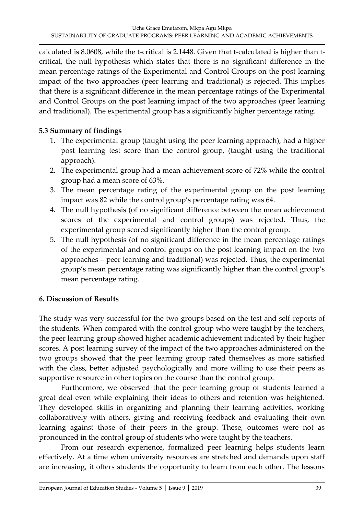calculated is 8.0608, while the t-critical is 2.1448. Given that t-calculated is higher than tcritical, the null hypothesis which states that there is no significant difference in the mean percentage ratings of the Experimental and Control Groups on the post learning impact of the two approaches (peer learning and traditional) is rejected. This implies that there is a significant difference in the mean percentage ratings of the Experimental and Control Groups on the post learning impact of the two approaches (peer learning and traditional). The experimental group has a significantly higher percentage rating.

### **5.3 Summary of findings**

- 1. The experimental group (taught using the peer learning approach), had a higher post learning test score than the control group, (taught using the traditional approach).
- 2. The experimental group had a mean achievement score of 72% while the control group had a mean score of 63%.
- 3. The mean percentage rating of the experimental group on the post learning impact was 82 while the control group's percentage rating was 64.
- 4. The null hypothesis (of no significant difference between the mean achievement scores of the experimental and control groups) was rejected. Thus, the experimental group scored significantly higher than the control group.
- 5. The null hypothesis (of no significant difference in the mean percentage ratings of the experimental and control groups on the post learning impact on the two approaches – peer learning and traditional) was rejected. Thus, the experimental group's mean percentage rating was significantly higher than the control group's mean percentage rating.

## **6. Discussion of Results**

The study was very successful for the two groups based on the test and self-reports of the students. When compared with the control group who were taught by the teachers, the peer learning group showed higher academic achievement indicated by their higher scores. A post learning survey of the impact of the two approaches administered on the two groups showed that the peer learning group rated themselves as more satisfied with the class, better adjusted psychologically and more willing to use their peers as supportive resource in other topics on the course than the control group.

Furthermore, we observed that the peer learning group of students learned a great deal even while explaining their ideas to others and retention was heightened. They developed skills in organizing and planning their learning activities, working collaboratively with others, giving and receiving feedback and evaluating their own learning against those of their peers in the group. These, outcomes were not as pronounced in the control group of students who were taught by the teachers.

From our research experience, formalized peer learning helps students learn effectively. At a time when university resources are stretched and demands upon staff are increasing, it offers students the opportunity to learn from each other. The lessons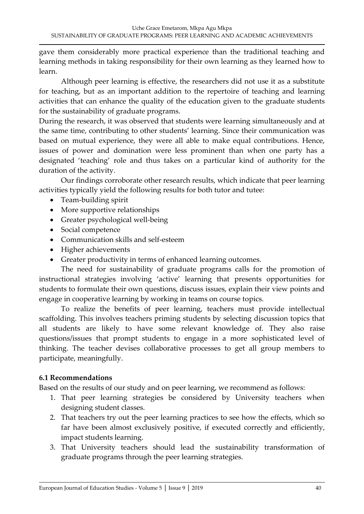gave them considerably more practical experience than the traditional teaching and learning methods in taking responsibility for their own learning as they learned how to learn.

Although peer learning is effective, the researchers did not use it as a substitute for teaching, but as an important addition to the repertoire of teaching and learning activities that can enhance the quality of the education given to the graduate students for the sustainability of graduate programs.

During the research, it was observed that students were learning simultaneously and at the same time, contributing to other students' learning. Since their communication was based on mutual experience, they were all able to make equal contributions. Hence, issues of power and domination were less prominent than when one party has a designated 'teaching' role and thus takes on a particular kind of authority for the duration of the activity.

Our findings corroborate other research results, which indicate that peer learning activities typically yield the following results for both tutor and tutee:

- Team-building spirit
- More supportive relationships
- Greater psychological well-being
- Social competence
- Communication skills and self-esteem
- Higher achievements
- Greater productivity in terms of enhanced learning outcomes.

The need for sustainability of graduate programs calls for the promotion of instructional strategies involving 'active' learning that presents opportunities for students to formulate their own questions, discuss issues, explain their view points and engage in cooperative learning by working in teams on course topics.

To realize the benefits of peer learning, teachers must provide intellectual scaffolding. This involves teachers priming students by selecting discussion topics that all students are likely to have some relevant knowledge of. They also raise questions/issues that prompt students to engage in a more sophisticated level of thinking. The teacher devises collaborative processes to get all group members to participate, meaningfully.

## **6.1 Recommendations**

Based on the results of our study and on peer learning, we recommend as follows:

- 1. That peer learning strategies be considered by University teachers when designing student classes.
- 2. That teachers try out the peer learning practices to see how the effects, which so far have been almost exclusively positive, if executed correctly and efficiently, impact students learning.
- 3. That University teachers should lead the sustainability transformation of graduate programs through the peer learning strategies.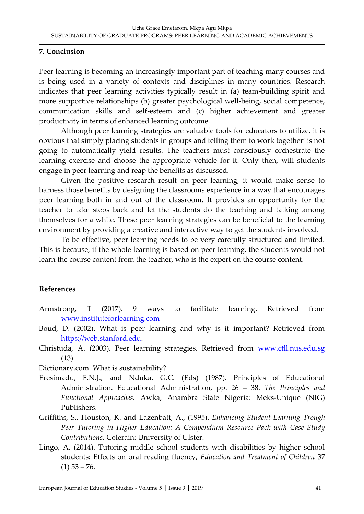### **7. Conclusion**

Peer learning is becoming an increasingly important part of teaching many courses and is being used in a variety of contexts and disciplines in many countries. Research indicates that peer learning activities typically result in (a) team-building spirit and more supportive relationships (b) greater psychological well-being, social competence, communication skills and self-esteem and (c) higher achievement and greater productivity in terms of enhanced learning outcome.

Although peer learning strategies are valuable tools for educators to utilize, it is obvious that simply placing students in groups and telling them to work together' is not going to automatically yield results. The teachers must consciously orchestrate the learning exercise and choose the appropriate vehicle for it. Only then, will students engage in peer learning and reap the benefits as discussed.

Given the positive research result on peer learning, it would make sense to harness those benefits by designing the classrooms experience in a way that encourages peer learning both in and out of the classroom. It provides an opportunity for the teacher to take steps back and let the students do the teaching and talking among themselves for a while. These peer learning strategies can be beneficial to the learning environment by providing a creative and interactive way to get the students involved.

To be effective, peer learning needs to be very carefully structured and limited. This is because, if the whole learning is based on peer learning, the students would not learn the course content from the teacher, who is the expert on the course content.

## **References**

- Armstrong, T (2017). 9 ways to facilitate learning. Retrieved from [www.instituteforlearning.com](http://www.instituteforlearning.com/)
- Boud, D. (2002). What is peer learning and why is it important? Retrieved from [https://web.stanford.edu.](https://web.stanford.edu/)
- Christuda, A. (2003). Peer learning strategies. Retrieved from [www.ctll.nus.edu.sg](http://www.ctll.nus.edu.sg/) (13).

Dictionary.com. What is sustainability?

- Eresimadu, F.N.J., and Nduka, G.C. (Eds) (1987). Principles of Educational Administration. Educational Administration, pp. 26 – 38. *The Principles and Functional Approaches.* Awka, Anambra State Nigeria: Meks-Unique (NIG) Publishers.
- Griffiths, S., Houston, K. and Lazenbatt, A., (1995). *Enhancing Student Learning Trough Peer Tutoring in Higher Education: A Compendium Resource Pack with Case Study Contributions.* Colerain: University of Ulster.
- Lingo, A. (2014). Tutoring middle school students with disabilities by higher school students: Effects on oral reading fluency, *Education and Treatment of Children* 37  $(1)$  53 – 76.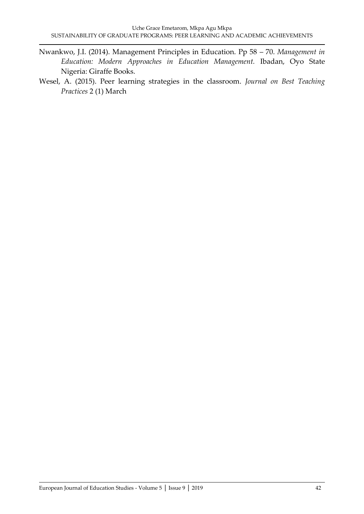- Nwankwo, J.I. (2014). Management Principles in Education. Pp 58 70. *Management in Education: Modern Approaches in Education Management.* Ibadan, Oyo State Nigeria: Giraffe Books.
- Wesel, A. (2015). Peer learning strategies in the classroom. *Journal on Best Teaching Practices* 2 (1) March